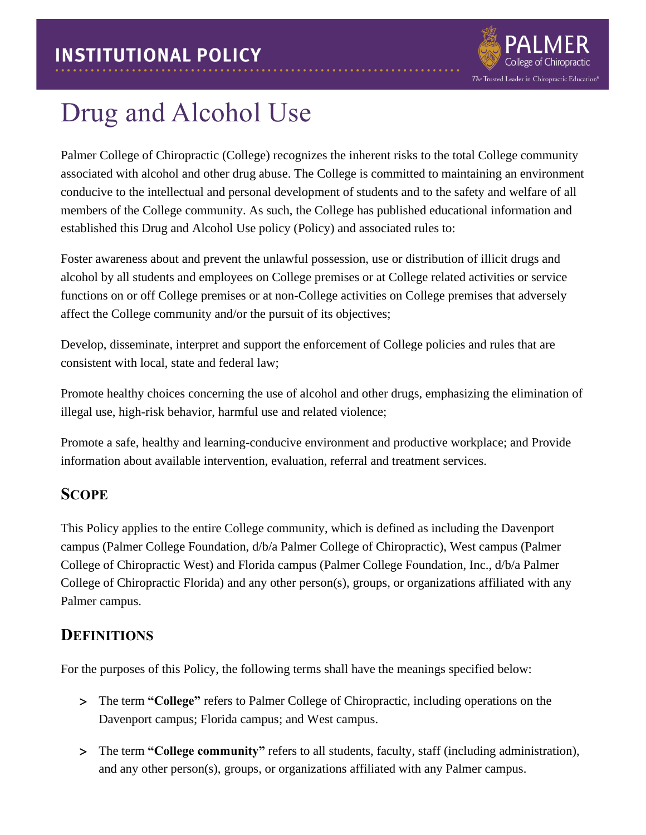

# Drug and Alcohol Use

Palmer College of Chiropractic (College) recognizes the inherent risks to the total College community associated with alcohol and other drug abuse. The College is committed to maintaining an environment conducive to the intellectual and personal development of students and to the safety and welfare of all members of the College community. As such, the College has published educational information and established this Drug and Alcohol Use policy (Policy) and associated rules to:

Foster awareness about and prevent the unlawful possession, use or distribution of illicit drugs and alcohol by all students and employees on College premises or at College related activities or service functions on or off College premises or at non-College activities on College premises that adversely affect the College community and/or the pursuit of its objectives;

Develop, disseminate, interpret and support the enforcement of College policies and rules that are consistent with local, state and federal law;

Promote healthy choices concerning the use of alcohol and other drugs, emphasizing the elimination of illegal use, high-risk behavior, harmful use and related violence;

Promote a safe, healthy and learning-conducive environment and productive workplace; and Provide information about available intervention, evaluation, referral and treatment services.

## **SCOPE**

This Policy applies to the entire College community, which is defined as including the Davenport campus (Palmer College Foundation, d/b/a Palmer College of Chiropractic), West campus (Palmer College of Chiropractic West) and Florida campus (Palmer College Foundation, Inc., d/b/a Palmer College of Chiropractic Florida) and any other person(s), groups, or organizations affiliated with any Palmer campus.

## **DEFINITIONS**

For the purposes of this Policy, the following terms shall have the meanings specified below:

- The term **"College"** refers to Palmer College of Chiropractic, including operations on the Davenport campus; Florida campus; and West campus.
- The term **"College community"** refers to all students, faculty, staff (including administration), and any other person(s), groups, or organizations affiliated with any Palmer campus.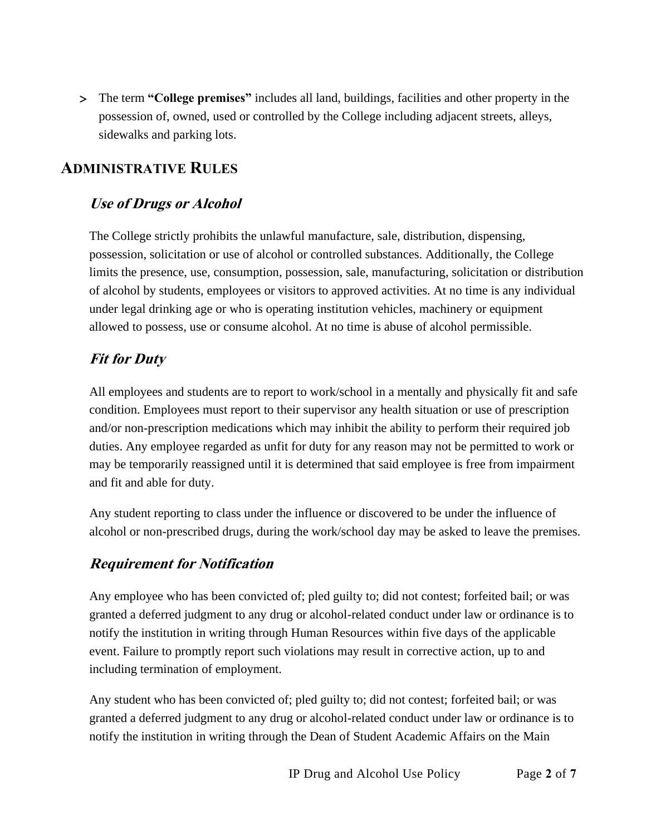The term **"College premises"** includes all land, buildings, facilities and other property in the possession of, owned, used or controlled by the College including adjacent streets, alleys, sidewalks and parking lots.

# **ADMINISTRATIVE RULES**

## **Use of Drugs or Alcohol**

The College strictly prohibits the unlawful manufacture, sale, distribution, dispensing, possession, solicitation or use of alcohol or controlled substances. Additionally, the College limits the presence, use, consumption, possession, sale, manufacturing, solicitation or distribution of alcohol by students, employees or visitors to approved activities. At no time is any individual under legal drinking age or who is operating institution vehicles, machinery or equipment allowed to possess, use or consume alcohol. At no time is abuse of alcohol permissible.

## **Fit for Duty**

All employees and students are to report to work/school in a mentally and physically fit and safe condition. Employees must report to their supervisor any health situation or use of prescription and/or non-prescription medications which may inhibit the ability to perform their required job duties. Any employee regarded as unfit for duty for any reason may not be permitted to work or may be temporarily reassigned until it is determined that said employee is free from impairment and fit and able for duty.

Any student reporting to class under the influence or discovered to be under the influence of alcohol or non-prescribed drugs, during the work/school day may be asked to leave the premises.

## **Requirement for Notification**

Any employee who has been convicted of; pled guilty to; did not contest; forfeited bail; or was granted a deferred judgment to any drug or alcohol-related conduct under law or ordinance is to notify the institution in writing through Human Resources within five days of the applicable event. Failure to promptly report such violations may result in corrective action, up to and including termination of employment.

Any student who has been convicted of; pled guilty to; did not contest; forfeited bail; or was granted a deferred judgment to any drug or alcohol-related conduct under law or ordinance is to notify the institution in writing through the Dean of Student Academic Affairs on the Main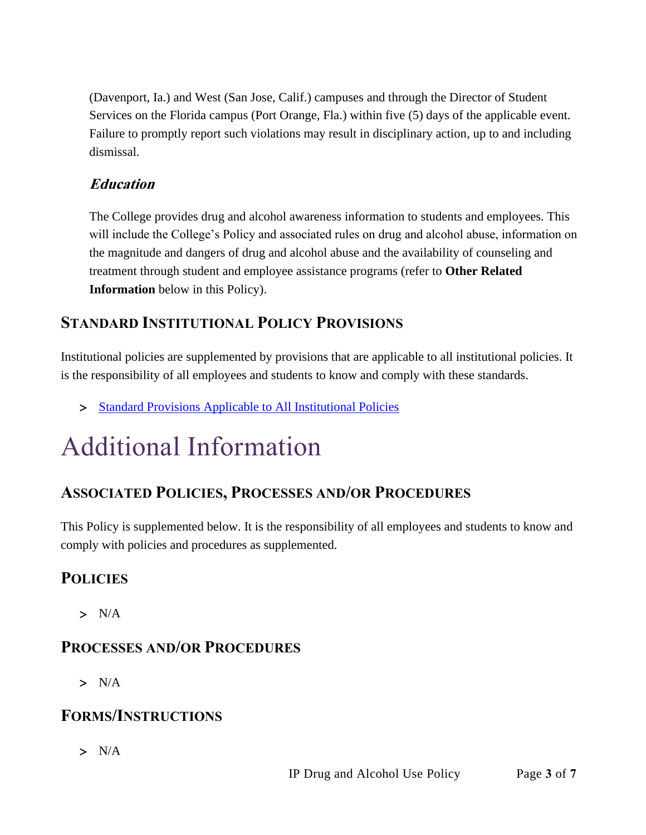(Davenport, Ia.) and West (San Jose, Calif.) campuses and through the Director of Student Services on the Florida campus (Port Orange, Fla.) within five (5) days of the applicable event. Failure to promptly report such violations may result in disciplinary action, up to and including dismissal.

# **Education**

The College provides drug and alcohol awareness information to students and employees. This will include the College's Policy and associated rules on drug and alcohol abuse, information on the magnitude and dangers of drug and alcohol abuse and the availability of counseling and treatment through student and employee assistance programs (refer to **Other Related Information** below in this Policy).

# **STANDARD INSTITUTIONAL POLICY PROVISIONS**

Institutional policies are supplemented by provisions that are applicable to all institutional policies. It is the responsibility of all employees and students to know and comply with these standards.

> [Standard Provisions Applicable to All Institutional Policies](http://www.palmer.edu/uploadedFiles/Pages/Students/Resources_and_Offices/Handbook_and_Policies/_pdf/Standard-Provisions-Applicable-to-All-Institutional-Policies.pdf)

# Additional Information

# **ASSOCIATED POLICIES, PROCESSES AND/OR PROCEDURES**

This Policy is supplemented below. It is the responsibility of all employees and students to know and comply with policies and procedures as supplemented.

# **POLICIES**

 $> N/A$ 

# **PROCESSES AND/OR PROCEDURES**

 $> N/A$ 

# **FORMS/INSTRUCTIONS**

 $> N/A$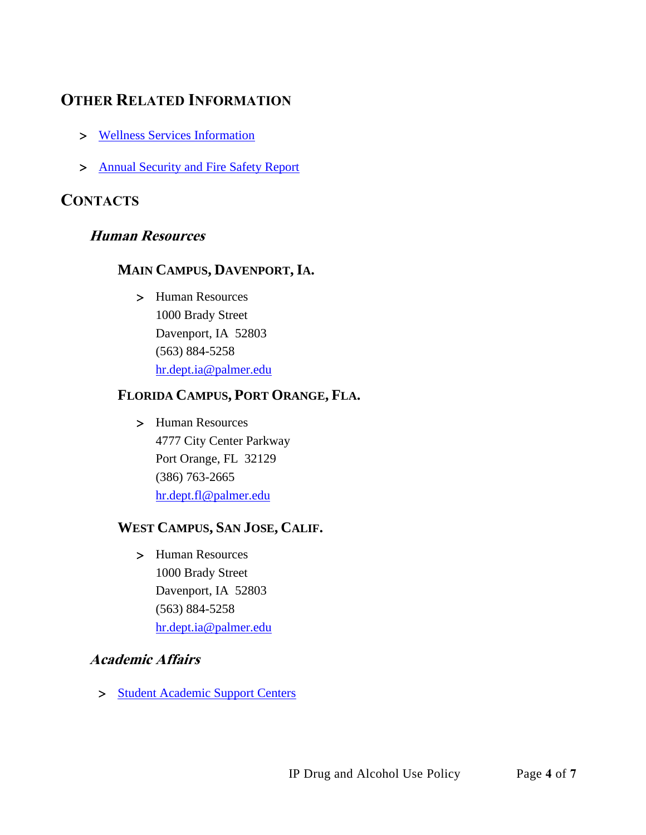# **OTHER RELATED INFORMATION**

- [Wellness Services Information](http://www.palmer.edu/students/academic-success/wellness/)
- > [Annual Security and Fire Safety Report](https://www.palmer.edu/getmedia/1fc436ff-16a4-4560-b24d-03488bdae8ce/annual-security-and-fire-safety-report.pdf)

# **CONTACTS**

### **Human Resources**

#### **MAIN CAMPUS, DAVENPORT, IA.**

 Human Resources 1000 Brady Street Davenport, IA 52803 (563) 884-5258 [hr.dept.ia@palmer.edu](mailto:hr.dept.ia@palmer.edu) 

#### **FLORIDA CAMPUS, PORT ORANGE, FLA.**

> Human Resources 4777 City Center Parkway Port Orange, FL 32129 (386) 763-2665 [hr.dept.fl@palmer.edu](mailto:hr.dept.fl@palmer.edu)

#### **WEST CAMPUS, SAN JOSE, CALIF.**

 Human Resources 1000 Brady Street Davenport, IA 52803 (563) 884-5258 [hr.dept.ia@palmer.edu](mailto:hr.dept.ia@palmer.edu) 

#### **Academic Affairs**

> [Student Academic Support Centers](http://www.palmer.edu/students/academic-success/academic-support-centers/)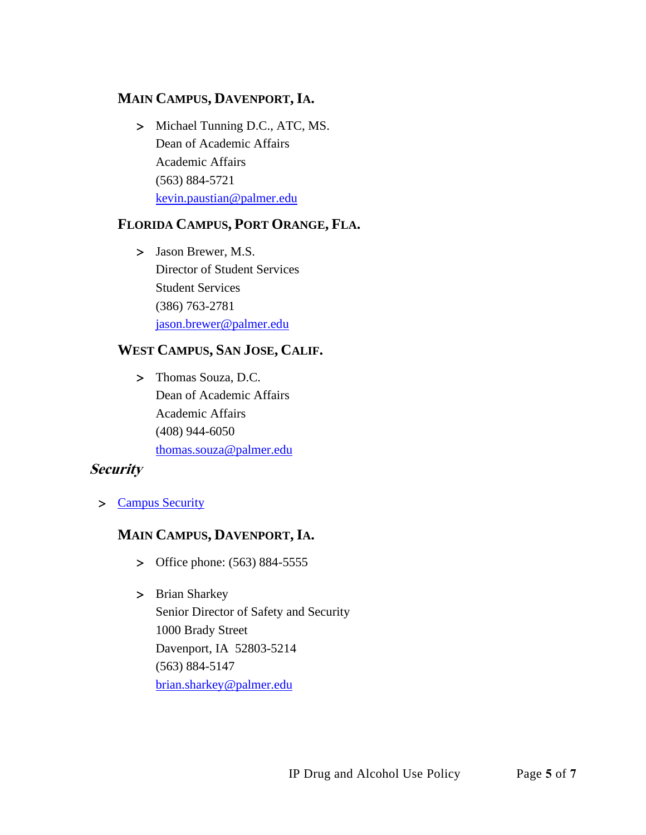#### **MAIN CAMPUS, DAVENPORT, IA.**

> Michael Tunning D.C., ATC, MS. Dean of Academic Affairs Academic Affairs (563) 884-5721 [kevin.paustian@palmer.edu](mailto:kevin.paustian@palmer.edu)

#### **FLORIDA CAMPUS, PORT ORANGE, FLA.**

> Jason Brewer, M.S. Director of Student Services Student Services (386) 763-2781 [jason.brewer@palmer.edu](mailto:jason.brewer@palmer.edu)

#### **WEST CAMPUS, SAN JOSE, CALIF.**

> Thomas Souza, D.C. Dean of Academic Affairs Academic Affairs (408) 944-6050 [thomas.souza@palmer.edu](mailto:thomas.souza@palmer.edu)

#### **Security**

[Campus Security](http://www.palmer.edu/students/resources-offices/security/)

### **MAIN CAMPUS, DAVENPORT, IA.**

- > Office phone: (563) 884-5555
- > Brian Sharkey Senior Director of Safety and Security 1000 Brady Street Davenport, IA 52803-5214 (563) 884-5147 [brian.sharkey@palmer.edu](mailto:brian.sharkey@palmer.edu)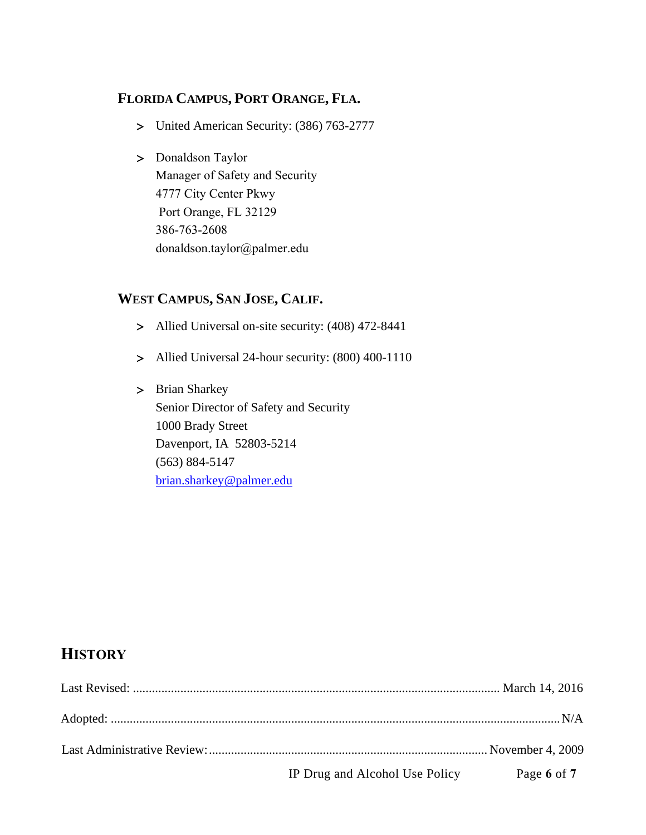#### **FLORIDA CAMPUS, PORT ORANGE, FLA.**

- United American Security: (386) 763-2777
- > Donaldson Taylor Manager of Safety and Security 4777 City Center Pkwy Port Orange, FL 32129 386-763-2608 [donaldson.taylor@palmer.e](mailto:brian.sharkey@palmer.edu)du

### **WEST CAMPUS, SAN JOSE, CALIF.**

- Allied Universal on-site security: (408) 472-8441
- Allied Universal 24-hour security: (800) 400-1110
- > Brian Sharkey Senior Director of Safety and Security 1000 Brady Street Davenport, IA 52803-5214 (563) 884-5147 [brian.sharkey@palmer.edu](mailto:brian.sharkey@palmer.edu)

# **HISTORY**

| IP Drug and Alcohol Use Policy | Page 6 of 7 |
|--------------------------------|-------------|